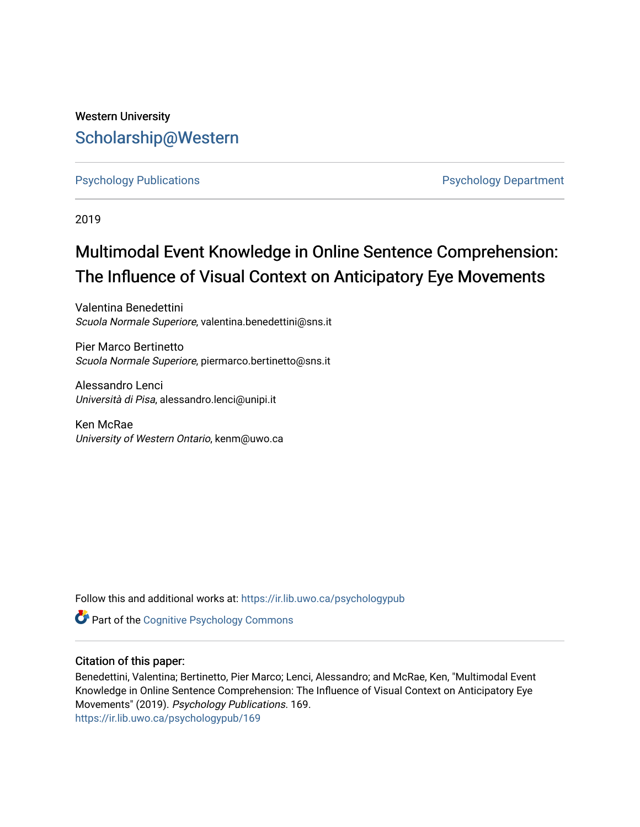## Western University [Scholarship@Western](https://ir.lib.uwo.ca/)

[Psychology Publications](https://ir.lib.uwo.ca/psychologypub) **Psychology Department** 

2019

# Multimodal Event Knowledge in Online Sentence Comprehension: The Influence of Visual Context on Anticipatory Eye Movements

Valentina Benedettini Scuola Normale Superiore, valentina.benedettini@sns.it

Pier Marco Bertinetto Scuola Normale Superiore, piermarco.bertinetto@sns.it

Alessandro Lenci Università di Pisa, alessandro.lenci@unipi.it

Ken McRae University of Western Ontario, kenm@uwo.ca

Follow this and additional works at: [https://ir.lib.uwo.ca/psychologypub](https://ir.lib.uwo.ca/psychologypub?utm_source=ir.lib.uwo.ca%2Fpsychologypub%2F169&utm_medium=PDF&utm_campaign=PDFCoverPages)

Part of the [Cognitive Psychology Commons](http://network.bepress.com/hgg/discipline/408?utm_source=ir.lib.uwo.ca%2Fpsychologypub%2F169&utm_medium=PDF&utm_campaign=PDFCoverPages) 

## Citation of this paper:

Benedettini, Valentina; Bertinetto, Pier Marco; Lenci, Alessandro; and McRae, Ken, "Multimodal Event Knowledge in Online Sentence Comprehension: The Influence of Visual Context on Anticipatory Eye Movements" (2019). Psychology Publications. 169. [https://ir.lib.uwo.ca/psychologypub/169](https://ir.lib.uwo.ca/psychologypub/169?utm_source=ir.lib.uwo.ca%2Fpsychologypub%2F169&utm_medium=PDF&utm_campaign=PDFCoverPages)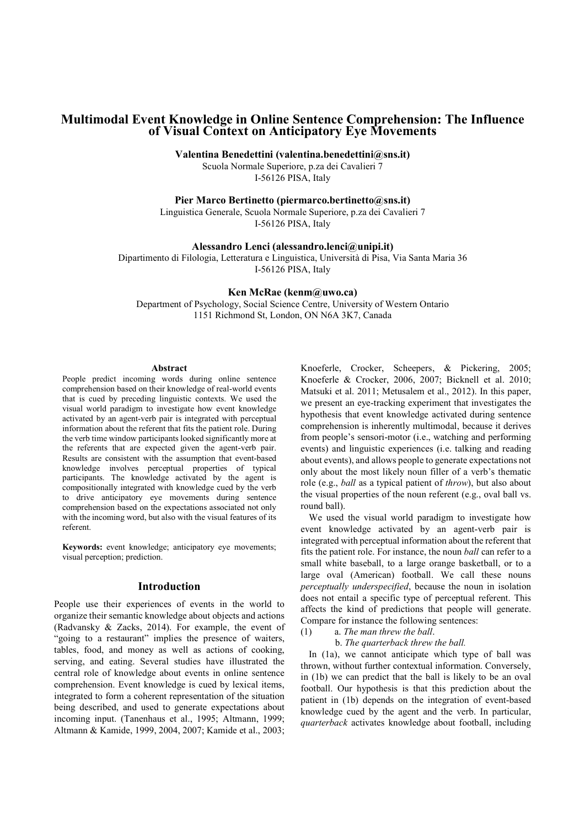## Multimodal Event Knowledge in Online Sentence Comprehension: The Influence of Visual Context on Anticipatory Eye Movements

Valentina Benedettini (valentina.benedettini@sns.it)

Scuola Normale Superiore, p.za dei Cavalieri 7 I-56126 PISA, Italy

Pier Marco Bertinetto (piermarco.bertinetto@sns.it)

Linguistica Generale, Scuola Normale Superiore, p.za dei Cavalieri 7 I-56126 PISA, Italy

#### Alessandro Lenci (alessandro.lenci@unipi.it)

Dipartimento di Filologia, Letteratura e Linguistica, Università di Pisa, Via Santa Maria 36 I-56126 PISA, Italy

#### Ken McRae (kenm@uwo.ca)

Department of Psychology, Social Science Centre, University of Western Ontario 1151 Richmond St, London, ON N6A 3K7, Canada

#### Abstract

People predict incoming words during online sentence comprehension based on their knowledge of real-world events that is cued by preceding linguistic contexts. We used the visual world paradigm to investigate how event knowledge activated by an agent-verb pair is integrated with perceptual information about the referent that fits the patient role. During the verb time window participants looked significantly more at the referents that are expected given the agent-verb pair. Results are consistent with the assumption that event-based knowledge involves perceptual properties of typical participants. The knowledge activated by the agent is compositionally integrated with knowledge cued by the verb to drive anticipatory eye movements during sentence comprehension based on the expectations associated not only with the incoming word, but also with the visual features of its referent.

Keywords: event knowledge; anticipatory eye movements; visual perception; prediction.

### Introduction

People use their experiences of events in the world to organize their semantic knowledge about objects and actions (Radvansky & Zacks, 2014). For example, the event of "going to a restaurant" implies the presence of waiters, tables, food, and money as well as actions of cooking, serving, and eating. Several studies have illustrated the central role of knowledge about events in online sentence comprehension. Event knowledge is cued by lexical items, integrated to form a coherent representation of the situation being described, and used to generate expectations about incoming input. (Tanenhaus et al., 1995; Altmann, 1999; Altmann & Kamide, 1999, 2004, 2007; Kamide et al., 2003; Knoeferle, Crocker, Scheepers, & Pickering, 2005; Knoeferle & Crocker, 2006, 2007; Bicknell et al. 2010; Matsuki et al. 2011; Metusalem et al., 2012). In this paper, we present an eye-tracking experiment that investigates the hypothesis that event knowledge activated during sentence comprehension is inherently multimodal, because it derives from people's sensori-motor (i.e., watching and performing events) and linguistic experiences (i.e. talking and reading about events), and allows people to generate expectations not only about the most likely noun filler of a verb's thematic role (e.g., ball as a typical patient of throw), but also about the visual properties of the noun referent (e.g., oval ball vs. round ball).

We used the visual world paradigm to investigate how event knowledge activated by an agent-verb pair is integrated with perceptual information about the referent that fits the patient role. For instance, the noun ball can refer to a small white baseball, to a large orange basketball, or to a large oval (American) football. We call these nouns perceptually underspecified, because the noun in isolation does not entail a specific type of perceptual referent. This affects the kind of predictions that people will generate. Compare for instance the following sentences:

(1) a. The man threw the ball.

b. The quarterback threw the ball.

In (1a), we cannot anticipate which type of ball was thrown, without further contextual information. Conversely, in (1b) we can predict that the ball is likely to be an oval football. Our hypothesis is that this prediction about the patient in (1b) depends on the integration of event-based knowledge cued by the agent and the verb. In particular, quarterback activates knowledge about football, including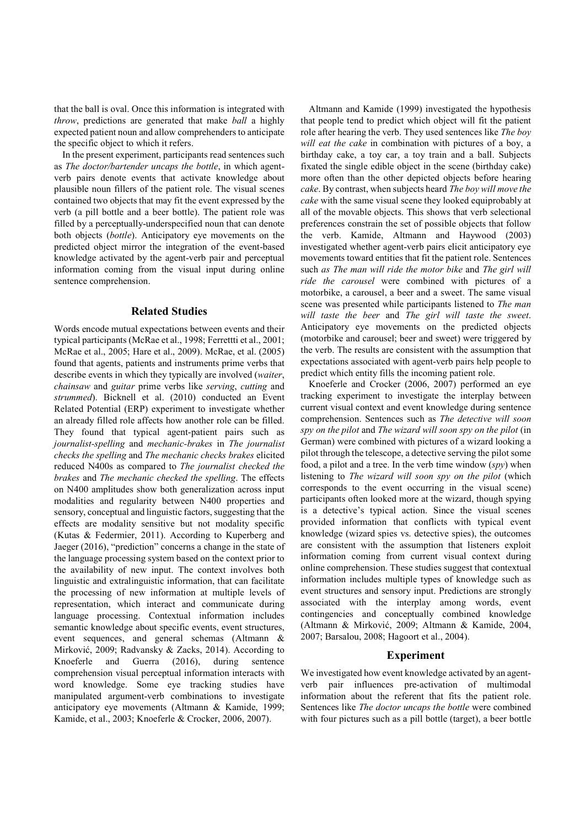that the ball is oval. Once this information is integrated with throw, predictions are generated that make ball a highly expected patient noun and allow comprehenders to anticipate the specific object to which it refers.

In the present experiment, participants read sentences such as The doctor/bartender uncaps the bottle, in which agentverb pairs denote events that activate knowledge about plausible noun fillers of the patient role. The visual scenes contained two objects that may fit the event expressed by the verb (a pill bottle and a beer bottle). The patient role was filled by a perceptually-underspecified noun that can denote both objects (bottle). Anticipatory eye movements on the predicted object mirror the integration of the event-based knowledge activated by the agent-verb pair and perceptual information coming from the visual input during online sentence comprehension.

#### Related Studies

Words encode mutual expectations between events and their typical participants (McRae et al., 1998; Ferrettti et al., 2001; McRae et al., 2005; Hare et al., 2009). McRae, et al. (2005) found that agents, patients and instruments prime verbs that describe events in which they typically are involved (waiter, chainsaw and guitar prime verbs like serving, cutting and strummed). Bicknell et al. (2010) conducted an Event Related Potential (ERP) experiment to investigate whether an already filled role affects how another role can be filled. They found that typical agent-patient pairs such as journalist-spelling and mechanic-brakes in The journalist checks the spelling and The mechanic checks brakes elicited reduced N400s as compared to The journalist checked the brakes and The mechanic checked the spelling. The effects on N400 amplitudes show both generalization across input modalities and regularity between N400 properties and sensory, conceptual and linguistic factors, suggesting that the effects are modality sensitive but not modality specific (Kutas & Federmier, 2011). According to Kuperberg and Jaeger (2016), "prediction" concerns a change in the state of the language processing system based on the context prior to the availability of new input. The context involves both linguistic and extralinguistic information, that can facilitate the processing of new information at multiple levels of representation, which interact and communicate during language processing. Contextual information includes semantic knowledge about specific events, event structures, event sequences, and general schemas (Altmann & Mirković, 2009; Radvansky & Zacks, 2014). According to Knoeferle and Guerra (2016), during sentence comprehension visual perceptual information interacts with word knowledge. Some eye tracking studies have manipulated argument-verb combinations to investigate anticipatory eye movements (Altmann & Kamide, 1999; Kamide, et al., 2003; Knoeferle & Crocker, 2006, 2007).

Altmann and Kamide (1999) investigated the hypothesis that people tend to predict which object will fit the patient role after hearing the verb. They used sentences like The boy will eat the cake in combination with pictures of a boy, a birthday cake, a toy car, a toy train and a ball. Subjects fixated the single edible object in the scene (birthday cake) more often than the other depicted objects before hearing cake. By contrast, when subjects heard The boy will move the cake with the same visual scene they looked equiprobably at all of the movable objects. This shows that verb selectional preferences constrain the set of possible objects that follow the verb. Kamide, Altmann and Haywood (2003) investigated whether agent-verb pairs elicit anticipatory eye movements toward entities that fit the patient role. Sentences such as The man will ride the motor bike and The girl will ride the carousel were combined with pictures of a motorbike, a carousel, a beer and a sweet. The same visual scene was presented while participants listened to The man will taste the beer and The girl will taste the sweet. Anticipatory eye movements on the predicted objects (motorbike and carousel; beer and sweet) were triggered by the verb. The results are consistent with the assumption that expectations associated with agent-verb pairs help people to predict which entity fills the incoming patient role.

Knoeferle and Crocker (2006, 2007) performed an eye tracking experiment to investigate the interplay between current visual context and event knowledge during sentence comprehension. Sentences such as The detective will soon spy on the pilot and The wizard will soon spy on the pilot (in German) were combined with pictures of a wizard looking a pilot through the telescope, a detective serving the pilot some food, a pilot and a tree. In the verb time window  $(spy)$  when listening to The wizard will soon spy on the pilot (which corresponds to the event occurring in the visual scene) participants often looked more at the wizard, though spying is a detective's typical action. Since the visual scenes provided information that conflicts with typical event knowledge (wizard spies vs. detective spies), the outcomes are consistent with the assumption that listeners exploit information coming from current visual context during online comprehension. These studies suggest that contextual information includes multiple types of knowledge such as event structures and sensory input. Predictions are strongly associated with the interplay among words, event contingencies and conceptually combined knowledge (Altmann & Mirković, 2009; Altmann & Kamide, 2004, 2007; Barsalou, 2008; Hagoort et al., 2004).

#### Experiment

We investigated how event knowledge activated by an agentverb pair influences pre-activation of multimodal information about the referent that fits the patient role. Sentences like The doctor uncaps the bottle were combined with four pictures such as a pill bottle (target), a beer bottle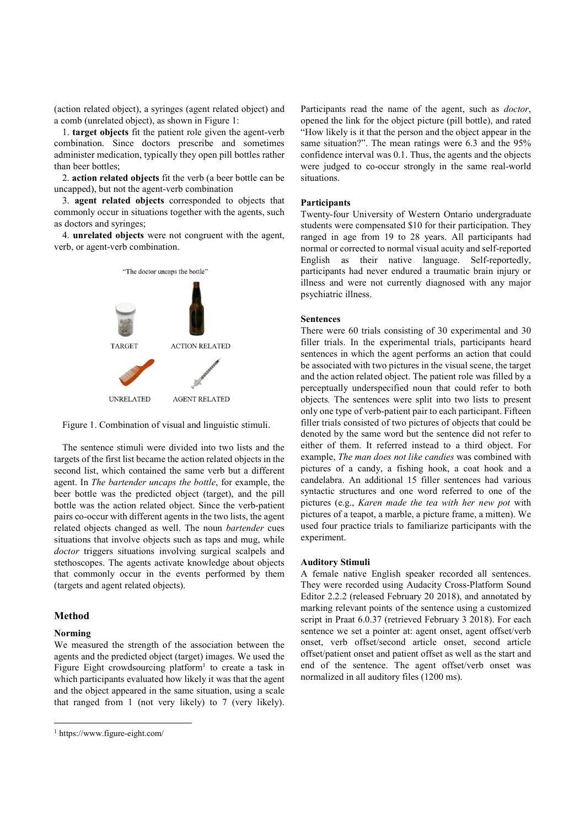(action related object), a syringes (agent related object) and a comb (unrelated object), as shown in Figure 1:

1. target objects fit the patient role given the agent-verb combination. Since doctors prescribe and sometimes administer medication, typically they open pill bottles rather than beer bottles;

2. action related objects fit the verb (a beer bottle can be uncapped), but not the agent-verb combination

3. agent related objects corresponded to objects that commonly occur in situations together with the agents, such as doctors and syringes;

4. unrelated objects were not congruent with the agent, verb, or agent-verb combination.



Figure 1. Combination of visual and linguistic stimuli.

The sentence stimuli were divided into two lists and the targets of the first list became the action related objects in the second list, which contained the same verb but a different agent. In The bartender uncaps the bottle, for example, the beer bottle was the predicted object (target), and the pill bottle was the action related object. Since the verb-patient pairs co-occur with different agents in the two lists, the agent related objects changed as well. The noun bartender cues situations that involve objects such as taps and mug, while doctor triggers situations involving surgical scalpels and stethoscopes. The agents activate knowledge about objects that commonly occur in the events performed by them (targets and agent related objects).

#### Method

#### Norming

-

We measured the strength of the association between the agents and the predicted object (target) images. We used the Figure Eight crowdsourcing platform<sup>1</sup> to create a task in which participants evaluated how likely it was that the agent and the object appeared in the same situation, using a scale that ranged from 1 (not very likely) to 7 (very likely).

Participants read the name of the agent, such as doctor, opened the link for the object picture (pill bottle), and rated "How likely is it that the person and the object appear in the same situation?". The mean ratings were 6.3 and the 95% confidence interval was 0.1. Thus, the agents and the objects were judged to co-occur strongly in the same real-world situations.

#### **Participants**

Twenty-four University of Western Ontario undergraduate students were compensated \$10 for their participation. They ranged in age from 19 to 28 years. All participants had normal or corrected to normal visual acuity and self-reported English as their native language. Self-reportedly, participants had never endured a traumatic brain injury or illness and were not currently diagnosed with any major psychiatric illness.

#### Sentences

There were 60 trials consisting of 30 experimental and 30 filler trials. In the experimental trials, participants heard sentences in which the agent performs an action that could be associated with two pictures in the visual scene, the target and the action related object. The patient role was filled by a perceptually underspecified noun that could refer to both objects. The sentences were split into two lists to present only one type of verb-patient pair to each participant. Fifteen filler trials consisted of two pictures of objects that could be denoted by the same word but the sentence did not refer to either of them. It referred instead to a third object. For example, The man does not like candies was combined with pictures of a candy, a fishing hook, a coat hook and a candelabra. An additional 15 filler sentences had various syntactic structures and one word referred to one of the pictures (e.g., Karen made the tea with her new pot with pictures of a teapot, a marble, a picture frame, a mitten). We used four practice trials to familiarize participants with the experiment.

#### Auditory Stimuli

A female native English speaker recorded all sentences. They were recorded using Audacity Cross-Platform Sound Editor 2.2.2 (released February 20 2018), and annotated by marking relevant points of the sentence using a customized script in Praat 6.0.37 (retrieved February 3 2018). For each sentence we set a pointer at: agent onset, agent offset/verb onset, verb offset/second article onset, second article offset/patient onset and patient offset as well as the start and end of the sentence. The agent offset/verb onset was normalized in all auditory files (1200 ms).

<sup>1</sup> https://www.figure-eight.com/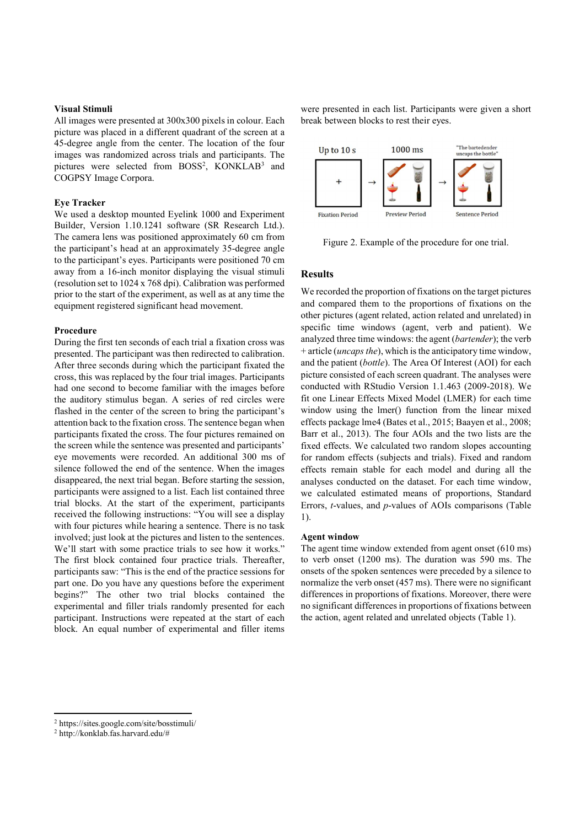#### Visual Stimuli

All images were presented at 300x300 pixels in colour. Each picture was placed in a different quadrant of the screen at a 45-degree angle from the center. The location of the four images was randomized across trials and participants. The pictures were selected from BOSS<sup>2</sup>, KONKLAB<sup>3</sup> and COGPSY Image Corpora.

#### Eye Tracker

We used a desktop mounted Eyelink 1000 and Experiment Fixation Period Builder, Version 1.10.1241 software (SR Research Ltd.). The camera lens was positioned approximately 60 cm from the participant's head at an approximately 35-degree angle to the participant's eyes. Participants were positioned 70 cm away from a 16-inch monitor displaying the visual stimuli (resolution set to 1024 x 768 dpi). Calibration was performed prior to the start of the experiment, as well as at any time the equipment registered significant head movement.

#### Procedure

During the first ten seconds of each trial a fixation cross was presented. The participant was then redirected to calibration. After three seconds during which the participant fixated the cross, this was replaced by the four trial images. Participants had one second to become familiar with the images before the auditory stimulus began. A series of red circles were flashed in the center of the screen to bring the participant's attention back to the fixation cross. The sentence began when participants fixated the cross. The four pictures remained on the screen while the sentence was presented and participants' eye movements were recorded. An additional 300 ms of silence followed the end of the sentence. When the images disappeared, the next trial began. Before starting the session, participants were assigned to a list. Each list contained three trial blocks. At the start of the experiment, participants received the following instructions: "You will see a display  $\frac{1}{1}$ with four pictures while hearing a sentence. There is no task involved; just look at the pictures and listen to the sentences. We'll start with some practice trials to see how it works." The first block contained four practice trials. Thereafter, participants saw: "This is the end of the practice sessions for part one. Do you have any questions before the experiment begins?" The other two trial blocks contained the experimental and filler trials randomly presented for each participant. Instructions were repeated at the start of each block. An equal number of experimental and filler items

were presented in each list. Participants were given a short break between blocks to rest their eyes.



Figure 2. Example of the procedure for one trial.

## Results

We recorded the proportion of fixations on the target pictures and compared them to the proportions of fixations on the other pictures (agent related, action related and unrelated) in specific time windows (agent, verb and patient). We analyzed three time windows: the agent (bartender); the verb  $+$  article (*uncaps the*), which is the anticipatory time window, and the patient (bottle). The Area Of Interest (AOI) for each picture consisted of each screen quadrant. The analyses were conducted with RStudio Version 1.1.463 (2009-2018). We fit one Linear Effects Mixed Model (LMER) for each time window using the lmer() function from the linear mixed effects package lme4 (Bates et al., 2015; Baayen et al., 2008; Barr et al., 2013). The four AOIs and the two lists are the fixed effects. We calculated two random slopes accounting for random effects (subjects and trials). Fixed and random effects remain stable for each model and during all the analyses conducted on the dataset. For each time window, we calculated estimated means of proportions, Standard Errors, t-values, and p-values of AOIs comparisons (Table 1).

#### Agent window

The agent time window extended from agent onset (610 ms) to verb onset (1200 ms). The duration was 590 ms. The onsets of the spoken sentences were preceded by a silence to normalize the verb onset (457 ms). There were no significant differences in proportions of fixations. Moreover, there were no significant differences in proportions of fixations between the action, agent related and unrelated objects (Table 1).

 $\overline{a}$ 

<sup>2</sup> https://sites.google.com/site/bosstimuli/ 2

http://konklab.fas.harvard.edu/#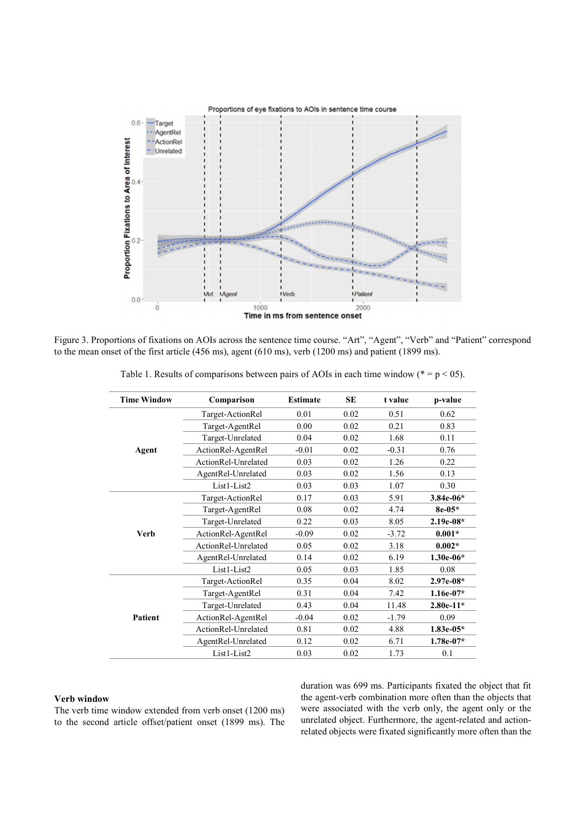

Figure 3. Proportions of fixations on AOIs across the sentence time course. "Art", "Agent", "Verb" and "Patient" correspond to the mean onset of the first article (456 ms), agent (610 ms), verb (1200 ms) and patient (1899 ms).

| <b>Time Window</b> | Comparison          | <b>Estimate</b> | SE   | t value | p-value     |
|--------------------|---------------------|-----------------|------|---------|-------------|
| Agent              | Target-ActionRel    | 0.01            | 0.02 | 0.51    | 0.62        |
|                    | Target-AgentRel     | 0.00            | 0.02 | 0.21    | 0.83        |
|                    | Target-Unrelated    | 0.04            | 0.02 | 1.68    | 0.11        |
|                    | ActionRel-AgentRel  | $-0.01$         | 0.02 | $-0.31$ | 0.76        |
|                    | ActionRel-Unrelated | 0.03            | 0.02 | 1.26    | 0.22        |
|                    | AgentRel-Unrelated  | 0.03            | 0.02 | 1.56    | 0.13        |
|                    | List1-List2         | 0.03            | 0.03 | 1.07    | 0.30        |
| <b>Verb</b>        | Target-ActionRel    | 0.17            | 0.03 | 5.91    | $3.84e-06*$ |
|                    | Target-AgentRel     | 0.08            | 0.02 | 4.74    | 8e-05*      |
|                    | Target-Unrelated    | 0.22            | 0.03 | 8.05    | $2.19e-08*$ |
|                    | ActionRel-AgentRel  | $-0.09$         | 0.02 | $-3.72$ | $0.001*$    |
|                    | ActionRel-Unrelated | 0.05            | 0.02 | 3.18    | $0.002*$    |
|                    | AgentRel-Unrelated  | 0.14            | 0.02 | 6.19    | $1.30e-06*$ |
|                    | List1-List2         | 0.05            | 0.03 | 1.85    | 0.08        |
| <b>Patient</b>     | Target-ActionRel    | 0.35            | 0.04 | 8.02    | 2.97e-08*   |
|                    | Target-AgentRel     | 0.31            | 0.04 | 7.42    | $1.16e-07*$ |
|                    | Target-Unrelated    | 0.43            | 0.04 | 11.48   | $2.80e-11*$ |
|                    | ActionRel-AgentRel  | $-0.04$         | 0.02 | $-1.79$ | 0.09        |
|                    | ActionRel-Unrelated | 0.81            | 0.02 | 4.88    | $1.83e-05*$ |
|                    | AgentRel-Unrelated  | 0.12            | 0.02 | 6.71    | $1.78e-07*$ |
|                    | List1-List2         | 0.03            | 0.02 | 1.73    | 0.1         |

Table 1. Results of comparisons between pairs of AOIs in each time window ( $* = p < 0.05$ ).

#### Verb window

The verb time window extended from verb onset (1200 ms) to the second article offset/patient onset (1899 ms). The duration was 699 ms. Participants fixated the object that fit the agent-verb combination more often than the objects that were associated with the verb only, the agent only or the unrelated object. Furthermore, the agent-related and actionrelated objects were fixated significantly more often than the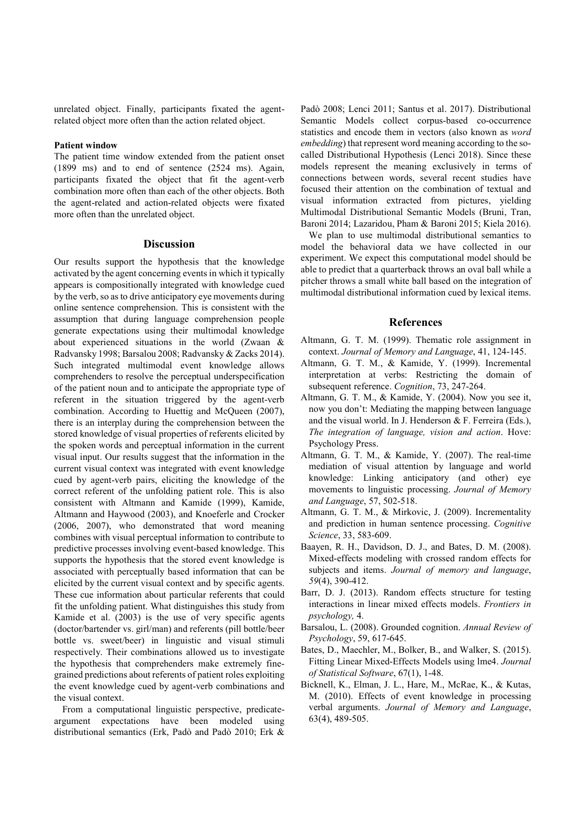unrelated object. Finally, participants fixated the agentrelated object more often than the action related object.

#### Patient window

The patient time window extended from the patient onset (1899 ms) and to end of sentence (2524 ms). Again, participants fixated the object that fit the agent-verb combination more often than each of the other objects. Both the agent-related and action-related objects were fixated more often than the unrelated object.

#### Discussion

Our results support the hypothesis that the knowledge activated by the agent concerning events in which it typically appears is compositionally integrated with knowledge cued by the verb, so as to drive anticipatory eye movements during online sentence comprehension. This is consistent with the assumption that during language comprehension people generate expectations using their multimodal knowledge about experienced situations in the world (Zwaan & Radvansky 1998; Barsalou 2008; Radvansky & Zacks 2014). Such integrated multimodal event knowledge allows comprehenders to resolve the perceptual underspecification of the patient noun and to anticipate the appropriate type of referent in the situation triggered by the agent-verb combination. According to Huettig and McQueen (2007), there is an interplay during the comprehension between the stored knowledge of visual properties of referents elicited by the spoken words and perceptual information in the current visual input. Our results suggest that the information in the current visual context was integrated with event knowledge cued by agent-verb pairs, eliciting the knowledge of the correct referent of the unfolding patient role. This is also consistent with Altmann and Kamide (1999), Kamide, Altmann and Haywood (2003), and Knoeferle and Crocker (2006, 2007), who demonstrated that word meaning combines with visual perceptual information to contribute to predictive processes involving event-based knowledge. This supports the hypothesis that the stored event knowledge is associated with perceptually based information that can be elicited by the current visual context and by specific agents. These cue information about particular referents that could fit the unfolding patient. What distinguishes this study from Kamide et al. (2003) is the use of very specific agents (doctor/bartender vs. girl/man) and referents (pill bottle/beer bottle vs. sweet/beer) in linguistic and visual stimuli respectively. Their combinations allowed us to investigate the hypothesis that comprehenders make extremely finegrained predictions about referents of patient roles exploiting the event knowledge cued by agent-verb combinations and the visual context.

From a computational linguistic perspective, predicateargument expectations have been modeled using distributional semantics (Erk, Padò and Padò 2010; Erk &

Padò 2008; Lenci 2011; Santus et al. 2017). Distributional Semantic Models collect corpus-based co-occurrence statistics and encode them in vectors (also known as word embedding) that represent word meaning according to the socalled Distributional Hypothesis (Lenci 2018). Since these models represent the meaning exclusively in terms of connections between words, several recent studies have focused their attention on the combination of textual and visual information extracted from pictures, yielding Multimodal Distributional Semantic Models (Bruni, Tran, Baroni 2014; Lazaridou, Pham & Baroni 2015; Kiela 2016).

We plan to use multimodal distributional semantics to model the behavioral data we have collected in our experiment. We expect this computational model should be able to predict that a quarterback throws an oval ball while a pitcher throws a small white ball based on the integration of multimodal distributional information cued by lexical items.

#### References

- Altmann, G. T. M. (1999). Thematic role assignment in context. Journal of Memory and Language, 41, 124-145.
- Altmann, G. T. M., & Kamide, Y. (1999). Incremental interpretation at verbs: Restricting the domain of subsequent reference. Cognition, 73, 247-264.
- Altmann, G. T. M., & Kamide, Y. (2004). Now you see it, now you don't: Mediating the mapping between language and the visual world. In J. Henderson & F. Ferreira (Eds.), The integration of language, vision and action. Hove: Psychology Press.
- Altmann, G. T. M., & Kamide, Y. (2007). The real-time mediation of visual attention by language and world knowledge: Linking anticipatory (and other) eye movements to linguistic processing. Journal of Memory and Language, 57, 502-518.
- Altmann, G. T. M., & Mirkovic, J. (2009). Incrementality and prediction in human sentence processing. Cognitive Science, 33, 583-609.
- Baayen, R. H., Davidson, D. J., and Bates, D. M. (2008). Mixed-effects modeling with crossed random effects for subjects and items. Journal of memory and language, 59(4), 390-412.
- Barr, D. J. (2013). Random effects structure for testing interactions in linear mixed effects models. Frontiers in psychology, 4.
- Barsalou, L. (2008). Grounded cognition. Annual Review of Psychology, 59, 617-645.
- Bates, D., Maechler, M., Bolker, B., and Walker, S. (2015). Fitting Linear Mixed-Effects Models using lme4. Journal of Statistical Software, 67(1), 1-48.
- Bicknell, K., Elman, J. L., Hare, M., McRae, K., & Kutas, M. (2010). Effects of event knowledge in processing verbal arguments. Journal of Memory and Language, 63(4), 489-505.